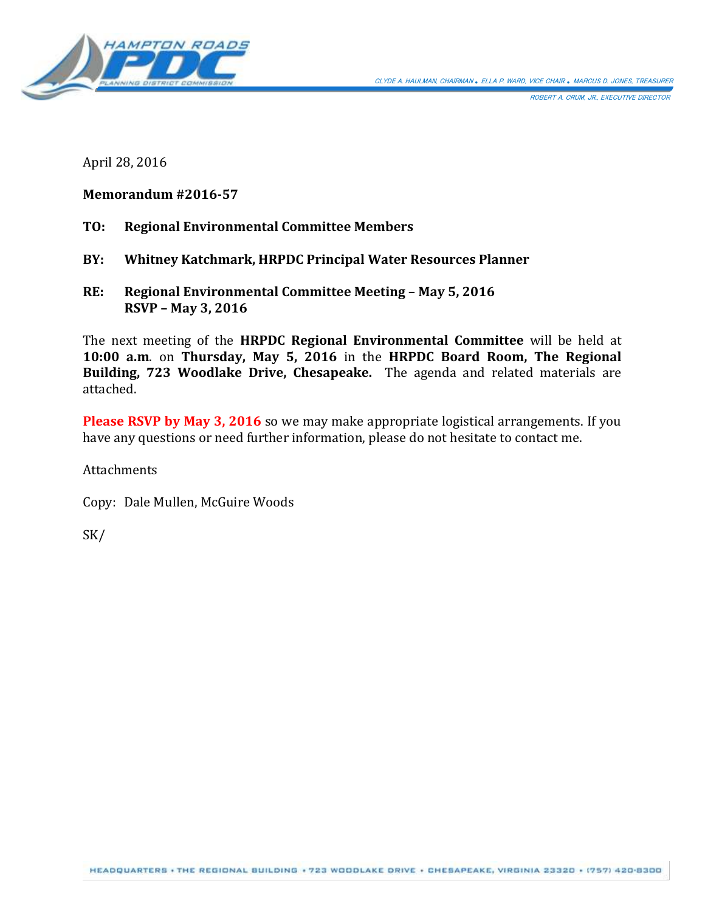

ROBERT A. CRUM, JR., EXECUTIVE DIRECTOR

April 28, 2016

# **Memorandum #2016-57**

- **TO: Regional Environmental Committee Members**
- **BY: Whitney Katchmark, HRPDC Principal Water Resources Planner**
- **RE: Regional Environmental Committee Meeting – May 5, 2016 RSVP – May 3, 2016**

The next meeting of the **HRPDC Regional Environmental Committee** will be held at **10:00 a.m**. on **Thursday, May 5, 2016** in the **HRPDC Board Room, The Regional Building, 723 Woodlake Drive, Chesapeake.** The agenda and related materials are attached.

**Please RSVP by May 3, 2016** so we may make appropriate logistical arrangements. If you have any questions or need further information, please do not hesitate to contact me.

**Attachments** 

Copy: Dale Mullen, McGuire Woods

SK/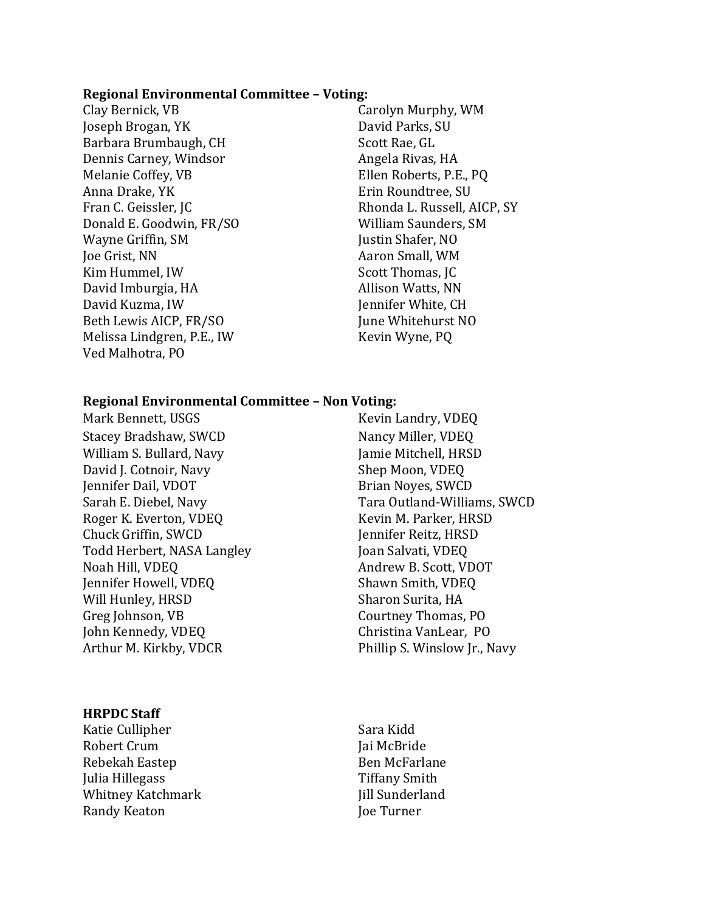#### **Regional Environmental Committee – Voting:**

Clay Bernick, VB Carolyn Murphy, WM Joseph Brogan, YK David Parks, SU Barbara Brumbaugh, CH Scott Rae, GL Dennis Carney, Windsor **Angela Rivas, HA** Melanie Coffey, VB Ellen Roberts, P.E., PQ Anna Drake, YK **Example 2018** Erin Roundtree, SU Fran C. Geissler, JC **Rhonda L. Russell, AICP, SY** Donald E. Goodwin, FR/SO William Saunders, SM Wayne Griffin, SM Justin Shafer, NO Joe Grist, NN Aaron Small, WM Kim Hummel, IW Scott Thomas, JC David Imburgia, HA Allison Watts, NN David Kuzma, IW Jennifer White, CH Beth Lewis AICP, FR/SO June Whitehurst NO Melissa Lindgren, P.E., IW Kevin Wyne, PQ Ved Malhotra, PO

#### **Regional Environmental Committee – Non Voting:**

Mark Bennett, USGS Kevin Landry, VDEQ Stacey Bradshaw, SWCD Nancy Miller, VDEQ William S. Bullard, Navy Jamie Mitchell, HRSD David J. Cotnoir, Navy Shep Moon, VDEQ Jennifer Dail, VDOT Brian Noyes, SWCD Roger K. Everton, VDEQ Kevin M. Parker, HRSD Chuck Griffin, SWCD Jennifer Reitz, HRSD Todd Herbert, NASA Langley Joan Salvati, VDEQ Noah Hill, VDEQ Andrew B. Scott, VDOT Jennifer Howell, VDEQ Shawn Smith, VDEQ Will Hunley, HRSD Sharon Surita, HA Greg Johnson, VB Courtney Thomas, PO John Kennedy, VDEQ Christina VanLear, PO

#### **HRPDC Staff**

Katie Cullipher Sara Kidd Robert Crum Jai McBride Rebekah Eastep Ben McFarlane Julia Hillegass Tiffany Smith Whitney Katchmark **Victor** III Sunderland Randy Keaton Joe Turner

Sarah E. Diebel, Navy Tara Outland-Williams, SWCD Arthur M. Kirkby, VDCR Phillip S. Winslow Jr., Navy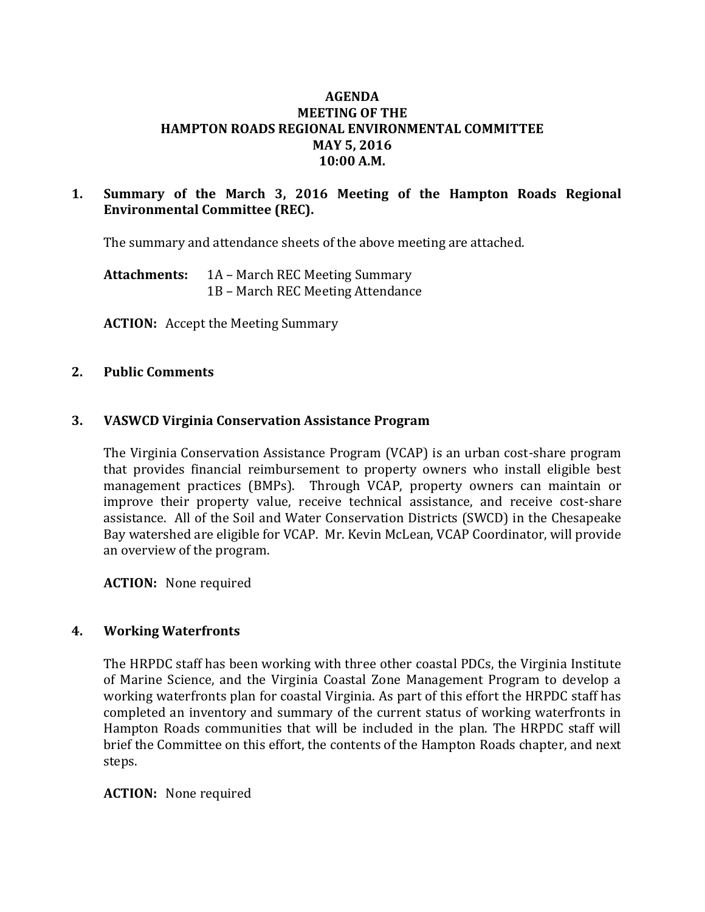# **AGENDA MEETING OF THE HAMPTON ROADS REGIONAL ENVIRONMENTAL COMMITTEE MAY 5, 2016 10:00 A.M.**

# **1. Summary of the March 3, 2016 Meeting of the Hampton Roads Regional Environmental Committee (REC).**

The summary and attendance sheets of the above meeting are attached.

**Attachments:** 1A – March REC Meeting Summary 1B – March REC Meeting Attendance

**ACTION:** Accept the Meeting Summary

## **2. Public Comments**

## **3. VASWCD Virginia Conservation Assistance Program**

The Virginia Conservation Assistance Program (VCAP) is an urban cost-share program that provides financial reimbursement to property owners who install eligible best management practices (BMPs). Through VCAP, property owners can maintain or improve their property value, receive technical assistance, and receive cost-share assistance. All of the Soil and Water Conservation Districts (SWCD) in the Chesapeake Bay watershed are eligible for VCAP. Mr. Kevin McLean, VCAP Coordinator, will provide an overview of the program.

**ACTION:** None required

### **4. Working Waterfronts**

The HRPDC staff has been working with three other coastal PDCs, the Virginia Institute of Marine Science, and the Virginia Coastal Zone Management Program to develop a working waterfronts plan for coastal Virginia. As part of this effort the HRPDC staff has completed an inventory and summary of the current status of working waterfronts in Hampton Roads communities that will be included in the plan. The HRPDC staff will brief the Committee on this effort, the contents of the Hampton Roads chapter, and next steps.

### **ACTION:** None required